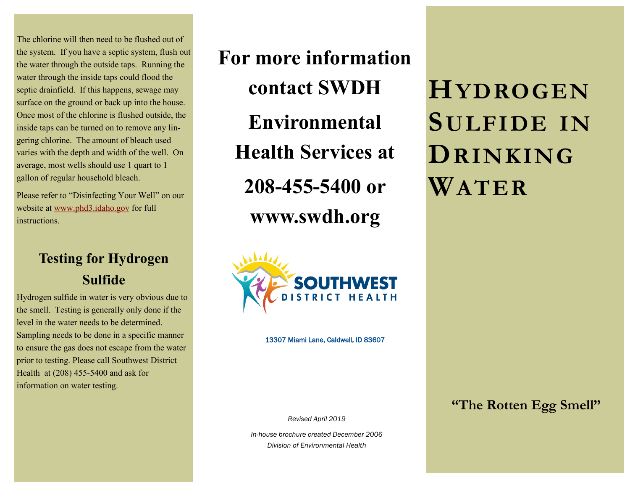The chlorine will then need to be flushed out of the system. If you have a septic system, flush out the water through the outside taps. Running the water through the inside taps could flood the septic drainfield. If this happens, sewage may surface on the ground or back up into the house. Once most of the chlorine is flushed outside, the inside taps can be turned on to remove any lingering chlorine. The amount of bleach used varies with the depth and width of the well. On average, most wells should use 1 quart to 1 gallon of regular household bleach.

Please refer to "Disinfecting Your Well" on our website at [www.phd3.idaho.gov](https://phd3.idaho.gov/licensing-permitting/water/#1509122464726-4273cfac-7f8dC:/Users/jdelmore/Documents/Custom Office Templates) for full instructions.

## **Testing for Hydrogen Sulfide**

Hydrogen sulfide in water is very obvious due to the smell. Testing is generally only done if the level in the water needs to be determined. Sampling needs to be done in a specific manner to ensure the gas does not escape from the water prior to testing. Please call Southwest District Health at (208) 455-5400 and ask for information on water testing.

**For more information contact SWDH Environmental Health Services at 208-455-5400 or www.swdh.org**



13307 Miami Lane, Caldwell, ID 83607

*Revised April 2019*

*In-house brochure created December 2006 Division of Environmental Health* 

**HYDROGEN SULFIDE IN DRINKING WATER**

**"The Rotten Egg Smell"**